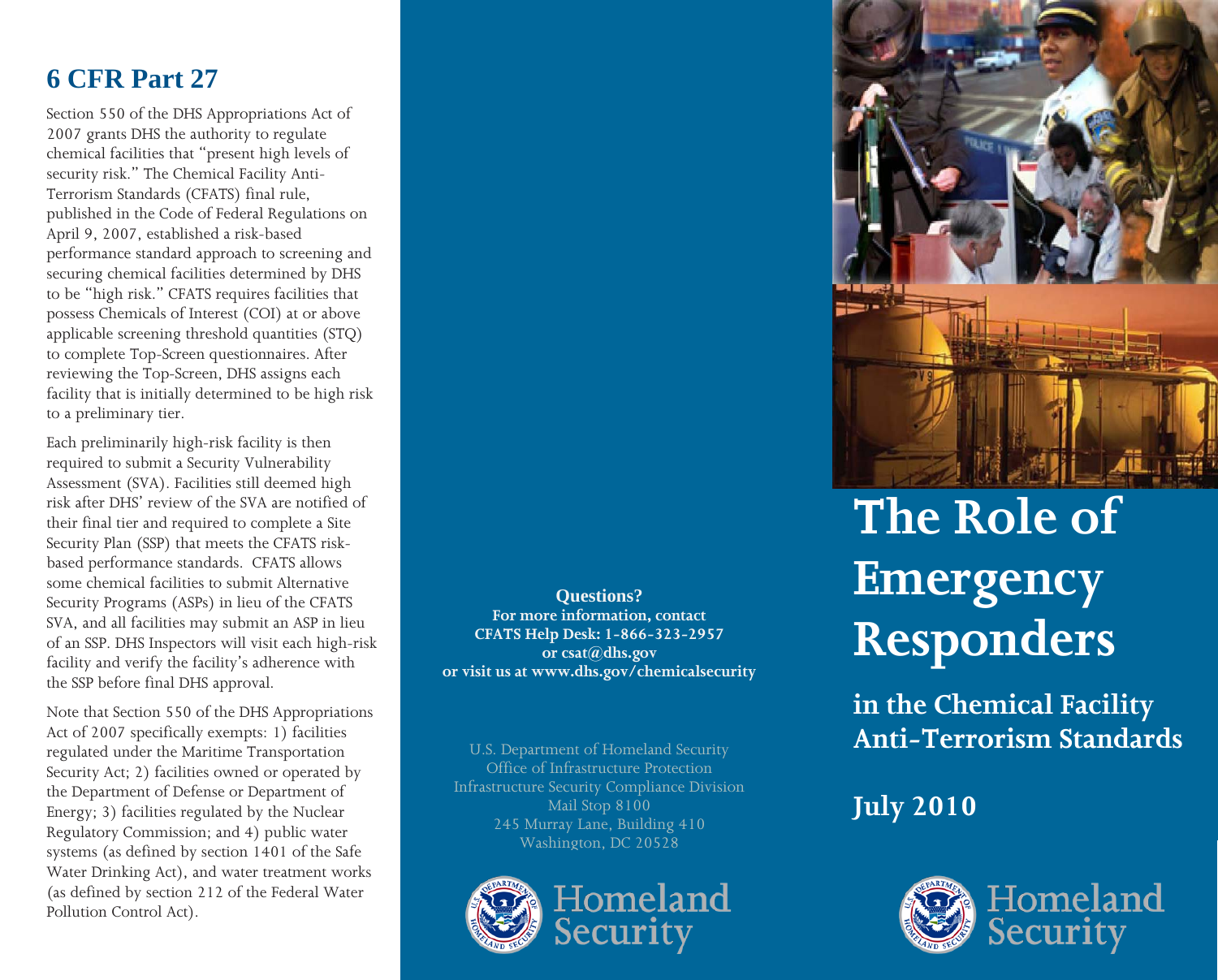## **6 CFR Part 27**

Section 550 of the DHS Appropriations Act of 2007 grants DHS the authority to regulate chemical facilities that "present high levels of security risk." The Chemical Facility Anti-Terrorism Standards (CFATS) final rule, published in the Code of Federal Regulations on April 9, 2007, established a risk-based performance standard approach to screening and securing chemical facilities determined by DHS to be "high risk." CFATS requires facilities that possess Chemicals of Interest (COI) at or above applicable screening threshold quantities (STQ) to complete Top-Screen questionnaires. After reviewing the Top-Screen, DHS assigns each facility that is initially determined to be high risk to a preliminary tier.

Each preliminarily high-risk facility is then required to submit a Security Vulnerability Assessment (SVA). Facilities still deemed high risk after DHS' review of the SVA are notified of their final tier and required to complete a Site Security Plan (SSP) that meets the CFATS riskbased performance standards. CFATS allows some chemical facilities to submit Alternative Security Programs (ASPs) in lieu of the CFATS SVA, and all facilities may submit an ASP in lieu of an SSP. DHS Inspectors will visit each high-risk facility and verify the facility's adherence with the SSP before final DHS approval.

Note that Section 550 of the DHS Appropriations Act of 2007 specifically exempts: 1) facilities regulated under the Maritime Transportation Security Act; 2) facilities owned or operated by the Department of Defense or Department of Energy; 3) facilities regulated by the Nuclear Regulatory Commission; and 4) public water systems (as defined by section 1401 of the Safe Water Drinking Act), and water treatment works (as defined by section 212 of the Federal Water Pollution Control Act).

**CFATS Help Desk: 1-866-323-2957 Questions? or csat@dhs.gov For more information, contact or visit us at www.dhs.gov/chemicalsecurity CFATS Help Desk: 1-866-323-2957 or csat@dhs.gov or visit us at www.dhs.gov/chemicalsecurity**

U.S. Department of Homeland Security s. Department of Fiomerand secur<br>Office of Infrastructure Protection  $\mathcal{L}$  and  $\mathcal{L}$  and  $\mathcal{L}$  and  $\mathcal{L}$  and  $\mathcal{L}$  and  $\mathcal{L}$  and  $\mathcal{L}$ Infrastructure Security Compliance Division Mail Stop 8100 245 Murray Lane, Building 410 Washington, DC 20528







# $\Gamma$ mechang  $\Gamma$ **Emergency Responders The Role of**

July 1910<br>July 2010 **in the Chemical Facility Anti-Terrorism Standards**

**July 2010**